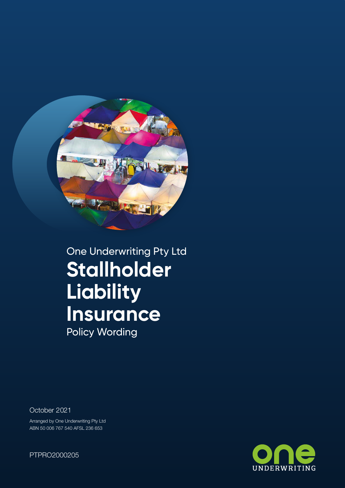

One Underwriting Pty Ltd **Stallholder Liability Insurance** Policy Wording

October 2021

Arranged by One Underwriting Pty Ltd ABN 50 006 767 540 AFSL 236 653

PTPRO2000205

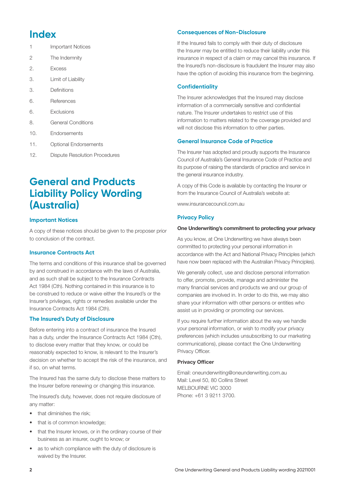# **Index**

- 1 **Important Notices**
- 2 The Indemnity
- 2. Excess
- 3. Limit of Liability
- 3. Definitions
- 6. References
- 6. Exclusions
- 8. General Conditions
- 10. Endorsements
- 11. Optional Endorsements
- 12. Dispute Resolution Procedures

# **General and Products Liability Policy Wording (Australia)**

# **Important Notices**

A copy of these notices should be given to the proposer prior to conclusion of the contract.

# **Insurance Contracts Act**

The terms and conditions of this insurance shall be governed by and construed in accordance with the laws of Australia, and as such shall be subject to the Insurance Contracts Act 1984 (Cth). Nothing contained in this insurance is to be construed to reduce or waive either the Insured's or the Insurer's privileges, rights or remedies available under the Insurance Contracts Act 1984 (Cth).

# **The Insured's Duty of Disclosure**

Before entering into a contract of insurance the Insured has a duty, under the Insurance Contracts Act 1984 (Cth), to disclose every matter that they know, or could be reasonably expected to know, is relevant to the Insurer's decision on whether to accept the risk of the insurance, and if so, on what terms.

The Insured has the same duty to disclose these matters to the Insurer before renewing or changing this insurance.

The Insured's duty, however, does not require disclosure of any matter:

- that diminishes the risk:
- that is of common knowledge:
- that the Insurer knows, or in the ordinary course of their business as an insurer, ought to know; or
- as to which compliance with the duty of disclosure is waived by the Insurer.

# **Consequences of Non-Disclosure**

If the Insured fails to comply with their duty of disclosure the Insurer may be entitled to reduce their liability under this insurance in respect of a claim or may cancel this insurance. If the Insured's non-disclosure is fraudulent the Insurer may also have the option of avoiding this insurance from the beginning.

# **Confidentiality**

The Insurer acknowledges that the Insured may disclose information of a commercially sensitive and confidential nature. The Insurer undertakes to restrict use of this information to matters related to the coverage provided and will not disclose this information to other parties.

# **General Insurance Code of Practice**

The Insurer has adopted and proudly supports the Insurance Council of Australia's General Insurance Code of Practice and its purpose of raising the standards of practice and service in the general insurance industry.

A copy of this Code is available by contacting the Insurer or from the Insurance Council of Australia's website at:

www.insurancecouncil.com.au

# **Privacy Policy**

# One Underwriting's commitment to protecting your privacy

As you know, at One Underwriting we have always been committed to protecting your personal information in accordance with the Act and National Privacy Principles (which have now been replaced with the Australian Privacy Principles).

We generally collect, use and disclose personal information to offer, promote, provide, manage and administer the many financial services and products we and our group of companies are involved in. In order to do this, we may also share your information with other persons or entities who assist us in providing or promoting our services.

If you require further information about the way we handle your personal information, or wish to modify your privacy preferences (which includes unsubscribing to our marketing communications), please contact the One Underwriting Privacy Officer.

# Privacy Officer

Email: oneunderwriting@oneunderwriting.com.au Mail: Level 50, 80 Collins Street MELBOURNE VIC 3000 Phone: +61 3 9211 3700.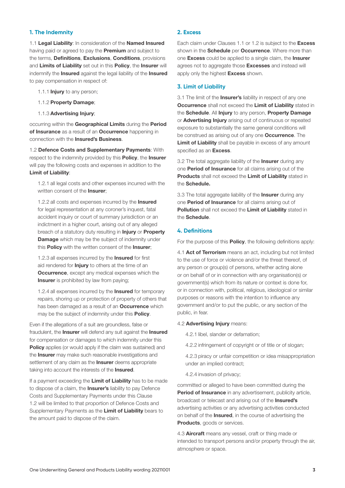#### **1. The Indemnity**

1.1 Legal Liability: In consideration of the Named Insured having paid or agreed to pay the **Premium** and subject to the terms, **Definitions, Exclusions, Conditions**, provisions and Limits of Liability set out in this Policy, the Insurer will indemnify the **Insured** against the legal liability of the **Insured** to pay compensation in respect of:

1.1.1 Injury to any person;

- 1.1.2 Property Damage;
- 1.1.3 Advertising Injury;

occurring within the Geographical Limits during the Period of Insurance as a result of an Occurrence happening in connection with the Insured's Business.

1.2 Defence Costs and Supplementary Payments: With respect to the indemnity provided by this **Policy**, the **Insurer** will pay the following costs and expenses in addition to the Limit of Liability:

1.2.1 all legal costs and other expenses incurred with the written consent of the **Insurer**:

1.2.2 all costs and expenses incurred by the **Insured** for legal representation at any coroner's inquest, fatal accident inquiry or court of summary jurisdiction or an indictment in a higher court, arising out of any alleged breach of a statutory duty resulting in *Injury* or **Property Damage** which may be the subject of indemnity under this Policy with the written consent of the Insurer;

1.2.3 all expenses incurred by the **Insured** for first aid rendered for *Injury* to others at the time of an **Occurrence**, except any medical expenses which the **Insurer** is prohibited by law from paying;

1.2.4 all expenses incurred by the **Insured** for temporary repairs, shoring up or protection of property of others that has been damaged as a result of an **Occurrence** which may be the subject of indemnity under this **Policy**.

Even if the allegations of a suit are groundless, false or fraudulent, the **Insurer** will defend any suit against the **Insured** for compensation or damages to which indemnity under this Policy applies (or would apply if the claim was sustained) and the **Insurer** may make such reasonable investigations and settlement of any claim as the **Insurer** deems appropriate taking into account the interests of the Insured.

If a payment exceeding the Limit of Liability has to be made to dispose of a claim, the **Insurer's** liability to pay Defence Costs and Supplementary Payments under this Clause 1.2 will be limited to that proportion of Defence Costs and Supplementary Payments as the Limit of Liability bears to the amount paid to dispose of the claim.

#### **2. Excess**

Each claim under Clauses 1.1 or 1.2 is subject to the Excess shown in the **Schedule** per **Occurrence**. Where more than one Excess could be applied to a single claim, the Insurer agrees not to aggregate those Excesses and instead will apply only the highest **Excess** shown.

#### **3. Limit of Liability**

3.1 The limit of the **Insurer's** liability in respect of any one **Occurrence** shall not exceed the **Limit of Liability** stated in the Schedule. All Injury to any person, Property Damage or Advertising Injury arising out of continuous or repeated exposure to substantially the same general conditions will be construed as arising out of any one Occurrence. The Limit of Liability shall be payable in excess of any amount specified as an Excess.

3.2 The total aggregate liability of the **Insurer** during any one Period of Insurance for all claims arising out of the Products shall not exceed the Limit of Liability stated in the Schedule.

3.3 The total aggregate liability of the **Insurer** during any one Period of Insurance for all claims arising out of Pollution shall not exceed the Limit of Liability stated in the Schedule.

### **4. Def initions**

For the purpose of this **Policy**, the following definitions apply:

4.1 Act of Terrorism means an act, including but not limited to the use of force or violence and/or the threat thereof, of any person or group(s) of persons, whether acting alone or on behalf of or in connection with any organisation(s) or government(s) which from its nature or context is done for, or in connection with, political, religious, ideological or similar purposes or reasons with the intention to influence any government and/or to put the public, or any section of the public, in fear.

#### 4.2 Advertising Injury means:

- 4.2.1 libel, slander or defamation;
- 4.2.2 infringement of copyright or of title or of slogan;
- 4.2.3 piracy or unfair competition or idea misappropriation under an implied contract;
- 4.2.4 invasion of privacy;

committed or alleged to have been committed during the Period of Insurance in any advertisement, publicity article, broadcast or telecast and arising out of the Insured's advertising activities or any advertising activities conducted on behalf of the Insured, in the course of advertising the Products, goods or services.

4.3 **Aircraft** means any vessel, craft or thing made or intended to transport persons and/or property through the air, atmosphere or space.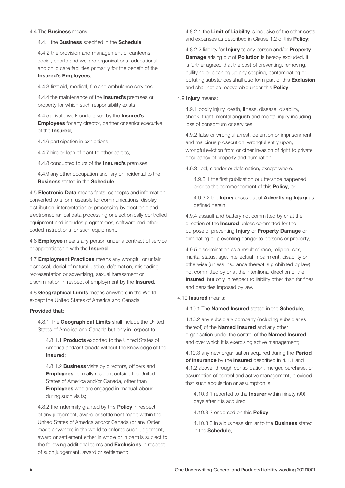#### 4.4 The Business means:

#### 4.4.1 the **Business** specified in the **Schedule**:

4.4.2 the provision and management of canteens, social, sports and welfare organisations, educational and child care facilities primarily for the benefit of the Insured's Employees;

4.4.3 first aid, medical, fire and ambulance services;

4.4.4 the maintenance of the **Insured's** premises or property for which such responsibility exists;

4.4.5 private work undertaken by the Insured's **Employees** for any director, partner or senior executive of the Insured;

4.4.6 participation in exhibitions;

4.4.7 hire or loan of plant to other parties;

4.4.8 conducted tours of the **Insured's** premises;

4.4.9 any other occupation ancillary or incidental to the Business stated in the Schedule.

4.5 Electronic Data means facts, concepts and information converted to a form useable for communications, display, distribution, interpretation or processing by electronic and electromechanical data processing or electronically controlled equipment and includes programmes, software and other coded instructions for such equipment.

4.6 **Employee** means any person under a contract of service or apprenticeship with the **Insured**.

4.7 Employment Practices means any wrongful or unfair dismissal, denial of natural justice, defamation, misleading representation or advertising, sexual harassment or discrimination in respect of employment by the Insured.

4.8 Geographical Limits means anywhere in the World except the United States of America and Canada.

#### Provided that:

4.8.1 The Geographical Limits shall include the United States of America and Canada but only in respect to;

4.8.1.1 **Products** exported to the United States of America and/or Canada without the knowledge of the Insured;

4.8.1.2 **Business** visits by directors, officers and **Employees** normally resident outside the United States of America and/or Canada, other than **Employees** who are engaged in manual labour during such visits;

4.8.2 the indemnity granted by this **Policy** in respect of any judgement, award or settlement made within the United States of America and/or Canada (or any Order made anywhere in the world to enforce such judgement, award or settlement either in whole or in part) is subject to the following additional terms and **Exclusions** in respect of such judgement, award or settlement;

4.8.2.1 the Limit of Liability is inclusive of the other costs and expenses as described in Clause 1.2 of this **Policy**;

4.8.2.2 liability for **Injury** to any person and/or **Property Damage** arising out of **Pollution** is hereby excluded. It is further agreed that the cost of preventing, removing, nullifying or cleaning up any seeping, contaminating or polluting substances shall also form part of this **Exclusion** and shall not be recoverable under this **Policy**;

#### 4.9 **Injury** means:

4.9.1 bodily injury, death, illness, disease, disability, shock, fright, mental anguish and mental injury including loss of consortium or services;

4.9.2 false or wrongful arrest, detention or imprisonment and malicious prosecution, wrongful entry upon, wrongful eviction from or other invasion of right to private occupancy of property and humiliation;

4.9.3 libel, slander or defamation, except where:

4.9.3.1 the first publication or utterance happened prior to the commencement of this **Policy**; or

4.9.3.2 the Injury arises out of Advertising Injury as defined herein;

4.9.4 assault and battery not committed by or at the direction of the **Insured** unless committed for the purpose of preventing *Injury* or **Property Damage** or eliminating or preventing danger to persons or property;

4.9.5 discrimination as a result of race, religion, sex, marital status, age, intellectual impairment, disability or otherwise (unless insurance thereof is prohibited by law) not committed by or at the intentional direction of the Insured, but only in respect to liability other than for fines and penalties imposed by law.

#### 4.10 Insured means:

4.10.1 The Named Insured stated in the Schedule;

4.10.2 any subsidiary company (including subsidiaries thereof) of the **Named Insured** and any other organisation under the control of the Named Insured and over which it is exercising active management;

4.10.3 any new organisation acquired during the **Period** of Insurance by the Insured described in 4.1.1 and 4.1.2 above, through consolidation, merger, purchase, or assumption of control and active management, provided that such acquisition or assumption is;

4.10.3.1 reported to the **Insurer** within ninety (90) days after it is acquired;

4.10.3.2 endorsed on this Policy;

4.10.3.3 in a business similar to the Business stated in the Schedule;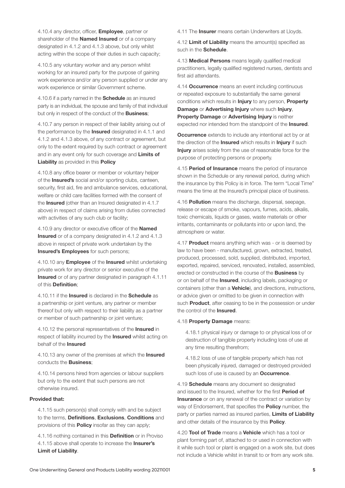4.10.4 any director, officer, **Employee**, partner or shareholder of the **Named Insured** or of a company designated in 4.1.2 and 4.1.3 above, but only whilst acting within the scope of their duties in such capacity;

4.10.5 any voluntary worker and any person whilst working for an insured party for the purpose of gaining work experience and/or any person supplied or under any work experience or similar Government scheme.

4.10.6 if a party named in the **Schedule** as an insured party is an individual, the spouse and family of that individual but only in respect of the conduct of the **Business**;

4.10.7 any person in respect of their liability arising out of the performance by the **Insured** designated in 4.1.1 and 4.1.2 and 4.1.3 above, of any contract or agreement, but only to the extent required by such contract or agreement and in any event only for such coverage and Limits of Liability as provided in this Policy

4.10.8 any office bearer or member or voluntary helper of the **Insured's** social and/or sporting clubs, canteen, security, first aid, fire and ambulance services, educational, welfare or child care facilities formed with the consent of the **Insured** (other than an Insured designated in 4.1.7) above) in respect of claims arising from duties connected with activities of any such club or facility;

4.10.9 any director or executive officer of the **Named** Insured or of a company designated in 4.1.2 and 4.1.3 above in respect of private work undertaken by the **Insured's Employees** for such persons;

4.10.10 any **Employee** of the **Insured** whilst undertaking private work for any director or senior executive of the **Insured** or of any partner designated in paragraph 4.1.11 of this Definition;

4.10.11 if the **Insured** is declared in the **Schedule** as a partnership or joint venture, any partner or member thereof but only with respect to their liability as a partner or member of such partnership or joint venture;

4.10.12 the personal representatives of the **Insured** in respect of liability incurred by the **Insured** whilst acting on behalf of the **Insured** 

4.10.13 any owner of the premises at which the **Insured** conducts the Business;

4.10.14 persons hired from agencies or labour suppliers but only to the extent that such persons are not otherwise insured.

#### Provided that:

4.1.15 such person(s) shall comply with and be subject to the terms, Definitions, Exclusions, Conditions and provisions of this **Policy** insofar as they can apply:

4.1.16 nothing contained in this Definition or in Proviso 4.1.15 above shall operate to increase the **Insurer's** Limit of Liability.

4.11 The **Insurer** means certain Underwriters at Lloyds.

4.12 **Limit of Liability** means the amount(s) specified as such in the **Schedule**.

4.13 Medical Persons means legally qualified medical practitioners, legally qualified registered nurses, dentists and first aid attendants.

4.14 Occurrence means an event including continuous or repeated exposure to substantially the same general conditions which results in Injury to any person, Property Damage or Advertising Injury where such Injury, Property Damage or Advertising Injury is neither expected nor intended from the standpoint of the **Insured**.

**Occurrence** extends to include any intentional act by or at the direction of the **Insured** which results in **Injury** if such Injury arises solely from the use of reasonable force for the purpose of protecting persons or property.

4.15 Period of Insurance means the period of insurance shown in the Schedule or any renewal period, during which the insurance by this Policy is in force. The term "Local Time" means the time at the Insured's principal place of business.

4.16 **Pollution** means the discharge, dispersal, seepage, release or escape of smoke, vapours, fumes, acids, alkalis, toxic chemicals, liquids or gases, waste materials or other irritants, contaminants or pollutants into or upon land, the atmosphere or water.

4.17 **Product** means anything which was - or is deemed by law to have been - manufactured, grown, extracted, treated, produced, processed, sold, supplied, distributed, imported, exported, repaired, serviced, renovated, installed, assembled, erected or constructed in the course of the **Business** by or on behalf of the Insured, including labels, packaging or containers (other than a Vehicle), and directions, instructions, or advice given or omitted to be given in connection with such **Product**, after ceasing to be in the possession or under the control of the Insured.

#### 4.18 Property Damage means:

4.18.1 physical injury or damage to or physical loss of or destruction of tangible property including loss of use at any time resulting therefrom;

4.18.2 loss of use of tangible property which has not been physically injured, damaged or destroyed provided such loss of use is caused by an **Occurrence**.

4.19 Schedule means any document so designated and issued to the Insured, whether for the first Period of **Insurance** or on any renewal of the contract or variation by way of Endorsement, that specifies the **Policy** number, the party or parties named as insured parties, Limits of Liability and other details of the insurance by this **Policy**.

4.20 Tool of Trade means a Vehicle which has a tool or plant forming part of, attached to or used in connection with it while such tool or plant is engaged on a work site, but does not include a Vehicle whilst in transit to or from any work site.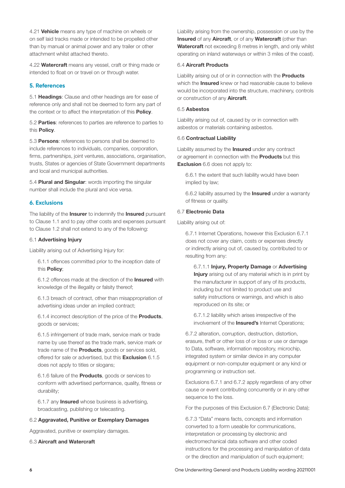4.21 Vehicle means any type of machine on wheels or on self laid tracks made or intended to be propelled other than by manual or animal power and any trailer or other attachment whilst attached thereto.

4.22 Watercraft means any vessel, craft or thing made or intended to float on or travel on or through water.

# **5. References**

5.1 Headings: Clause and other headings are for ease of reference only and shall not be deemed to form any part of the context or to affect the interpretation of this **Policy**.

5.2 Parties: references to parties are reference to parties to this Policy.

5.3 Persons: references to persons shall be deemed to include references to individuals, companies, corporation, firms, partnerships, joint ventures, associations, organisation, trusts, States or agencies of State Government departments and local and municipal authorities.

5.4 Plural and Singular: words importing the singular number shall include the plural and vice versa.

# **6. Exclusions**

The liability of the **Insurer** to indemnify the **Insured** pursuant to Clause 1.1 and to pay other costs and expenses pursuant to Clause 1.2 shall not extend to any of the following:

#### 6.1 Advertising Injury

Liability arising out of Advertising Injury for:

6.1.1 offences committed prior to the inception date of this Policy;

6.1.2 offences made at the direction of the **Insured** with knowledge of the illegality or falsity thereof;

6.1.3 breach of contract, other than misappropriation of advertising ideas under an implied contract;

6.1.4 incorrect description of the price of the **Products**, goods or services;

6.1.5 infringement of trade mark, service mark or trade name by use thereof as the trade mark, service mark or trade name of the **Products**, goods or services sold, offered for sale or advertised, but this **Exclusion** 6.1.5 does not apply to titles or slogans;

6.1.6 failure of the **Products**, goods or services to conform with advertised performance, quality, fitness or durability;

6.1.7 any **Insured** whose business is advertising, broadcasting, publishing or telecasting.

#### 6.2 Aggravated, Punitive or Exemplary Damages

Aggravated, punitive or exemplary damages.

#### 6.3 Aircraft and Watercraft

Liability arising from the ownership, possession or use by the Insured of any Aircraft, or of any Watercraft (other than Watercraft not exceeding 8 metres in length, and only whilst operating on inland waterways or within 3 miles of the coast).

#### 6.4 Aircraft Products

Liability arising out of or in connection with the Products which the **Insured** knew or had reasonable cause to believe would be incorporated into the structure, machinery, controls or construction of any **Aircraft**.

#### 6.5 Asbestos

Liability arising out of, caused by or in connection with asbestos or materials containing asbestos.

#### 6.6 Contractual Liability

Liability assumed by the **Insured** under any contract or agreement in connection with the **Products** but this **Exclusion** 6.6 does not apply to:

6.6.1 the extent that such liability would have been implied by law;

6.6.2 liability assumed by the **Insured** under a warranty of fitness or quality.

## 6.7 Electronic Data

Liability arising out of:

6.7.1 Internet Operations, however this Exclusion 6.7.1 does not cover any claim, costs or expenses directly or indirectly arising out of, caused by, contributed to or resulting from any:

6.7.1.1 Injury, Property Damage or Advertising Injury arising out of any material which is in print by the manufacturer in support of any of its products, including but not limited to product use and safety instructions or warnings, and which is also reproduced on its site; or

6.7.1.2 liability which arises irrespective of the involvement of the **Insured's** Internet Operations;

6.7.2 alteration, corruption, destruction, distortion, erasure, theft or other loss of or loss or use or damage to Data, software, information repository, microchip, integrated system or similar device in any computer equipment or non-computer equipment or any kind or programming or instruction set.

Exclusions 6.7.1 and 6.7.2 apply regardless of any other cause or event contributing concurrently or in any other sequence to the loss.

For the purposes of this Exclusion 6.7 (Electronic Data);

6.7.3 "Data" means facts, concepts and information converted to a form useable for communications, interpretation or processing by electronic and electromechanical data software and other coded instructions for the processing and manipulation of data or the direction and manipulation of such equipment;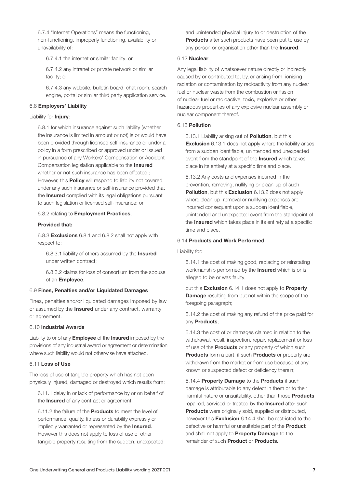6.7.4 "Internet Operations" means the functioning, non-functioning, improperly functioning, availability or unavailability of:

6.7.4.1 the internet or similar facility; or

6.7.4.2 any intranet or private network or similar facility; or

6.7.4.3 any website, bulletin board, chat room, search engine, portal or similar third party application service.

## 6.8 Employers' Liability

## Liability for Injury:

6.8.1 for which insurance against such liability (whether the insurance is limited in amount or not) is or would have been provided through licensed self-insurance or under a policy in a form prescribed or approved under or issued in pursuance of any Workers' Compensation or Accident Compensation legislation applicable to the Insured whether or not such insurance has been effected.: However, this **Policy** will respond to liability not covered under any such insurance or self-insurance provided that the **Insured** complied with its legal obligations pursuant to such legislation or licensed self-insurance; or

6.8.2 relating to Employment Practices;

#### Provided that:

6.8.3 Exclusions 6.8.1 and 6.8.2 shall not apply with respect to;

6.8.3.1 liability of others assumed by the **Insured** under written contract;

6.8.3.2 claims for loss of consortium from the spouse of an Employee.

### 6.9 Fines, Penalties and/or Liquidated Damages

Fines, penalties and/or liquidated damages imposed by law or assumed by the **Insured** under any contract, warranty or agreement.

## 6.10 Industrial Awards

Liability to or of any **Employee** of the **Insured** imposed by the provisions of any industrial award or agreement or determination where such liability would not otherwise have attached.

## 6.11 Loss of Use

The loss of use of tangible property which has not been physically injured, damaged or destroyed which results from:

6.11.1 delay in or lack of performance by or on behalf of the **Insured** of any contract or agreement;

6.11.2 the failure of the **Products** to meet the level of performance, quality, fitness or durability expressly or impliedly warranted or represented by the **Insured**. However this does not apply to loss of use of other tangible property resulting from the sudden, unexpected and unintended physical injury to or destruction of the **Products** after such products have been put to use by any person or organisation other than the **Insured**.

#### 6.12 Nuclear

Any legal liability of whatsoever nature directly or indirectly caused by or contributed to, by, or arising from, ionising radiation or contamination by radioactivity from any nuclear fuel or nuclear waste from the combustion or fission of nuclear fuel or radioactive, toxic, explosive or other hazardous properties of any explosive nuclear assembly or nuclear component thereof.

#### 6.13 Pollution

6.13.1 Liability arising out of Pollution, but this **Exclusion** 6.13.1 does not apply where the liability arises from a sudden identifiable, unintended and unexpected event from the standpoint of the **Insured** which takes place in its entirety at a specific time and place.

6.13.2 Any costs and expenses incurred in the prevention, removing, nullifying or clean-up of such **Pollution**, but this **Exclusion** 6.13.2 does not apply where clean-up, removal or nullifying expenses are incurred consequent upon a sudden identifiable, unintended and unexpected event from the standpoint of the **Insured** which takes place in its entirety at a specific time and place.

### 6.14 Products and Work Performed

Liability for:

6.14.1 the cost of making good, replacing or reinstating workmanship performed by the **Insured** which is or is alleged to be or was faulty;

but this **Exclusion** 6.14.1 does not apply to **Property Damage** resulting from but not within the scope of the foregoing paragraph;

6.14.2 the cost of making any refund of the price paid for any Products;

6.14.3 the cost of or damages claimed in relation to the withdrawal, recall, inspection, repair, replacement or loss of use of the **Products** or any property of which such Products form a part, if such Products or property are withdrawn from the market or from use because of any known or suspected defect or deficiency therein;

6.14.4 Property Damage to the Products if such damage is attributable to any defect in them or to their harmful nature or unsuitability, other than those **Products** repaired, serviced or treated by the **Insured** after such Products were originally sold, supplied or distributed, however this **Exclusion** 6.14.4 shall be restricted to the defective or harmful or unsuitable part of the **Product** and shall not apply to **Property Damage** to the remainder of such **Product** or **Products.**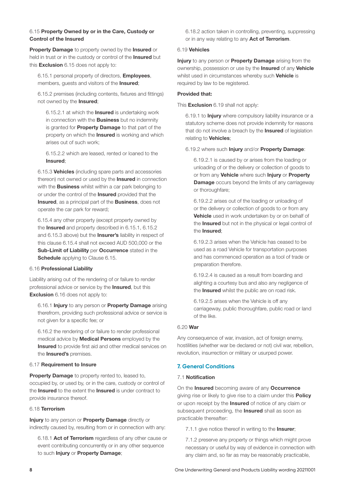# 6.15 Property Owned by or in the Care, Custody or Control of the Insured

**Property Damage** to property owned by the **Insured** or held in trust or in the custody or control of the **Insured** but this **Exclusion** 6.15 does not apply to:

6.15.1 personal property of directors. **Employees**, members, guests and visitors of the **Insured**;

6.15.2 premises (including contents, fixtures and fittings) not owned by the Insured;

6.15.2.1 at which the **Insured** is undertaking work in connection with the **Business** but no indemnity is granted for **Property Damage** to that part of the property on which the **Insured** is working and which arises out of such work;

6.15.2.2 which are leased, rented or loaned to the Insured;

6.15.3 Vehicles (including spare parts and accessories thereon) not owned or used by the **Insured** in connection with the **Business** whilst within a car park belonging to or under the control of the **Insured** provided that the **Insured**, as a principal part of the **Business**, does not operate the car park for reward;

6.15.4 any other property (except property owned by the **Insured** and property described in 6.15.1, 6.15.2 and 6.15.3 above) but the **Insurer's** liability in respect of this clause 6.15.4 shall not exceed AUD 500,000 or the Sub-Limit of Liability per Occurrence stated in the **Schedule** applying to Clause 6.15.

### 6.16 Professional Liability

Liability arising out of the rendering of or failure to render professional advice or service by the **Insured**, but this **Exclusion** 6.16 does not apply to:

6.16.1 Injury to any person or Property Damage arising therefrom, providing such professional advice or service is not given for a specific fee; or

6.16.2 the rendering of or failure to render professional medical advice by **Medical Persons** employed by the **Insured** to provide first aid and other medical services on the **Insured's** premises.

#### 6.17 Requirement to Insure

Property Damage to property rented to, leased to, occupied by, or used by, or in the care, custody or control of the **Insured** to the extent the **Insured** is under contract to provide insurance thereof.

## 6.18 Terrorism

**Injury** to any person or **Property Damage** directly or indirectly caused by, resulting from or in connection with any:

6.18.1 Act of Terrorism regardless of any other cause or event contributing concurrently or in any other sequence to such **Injury** or **Property Damage**;

6.18.2 action taken in controlling, preventing, suppressing or in any way relating to any Act of Terrorism.

#### 6.19 Vehicles

Injury to any person or Property Damage arising from the ownership, possession or use by the Insured of any Vehicle whilst used in circumstances whereby such **Vehicle** is required by law to be registered.

#### Provided that:

This **Exclusion** 6.19 shall not apply:

6.19.1 to **Injury** where compulsory liability insurance or a statutory scheme does not provide indemnity for reasons that do not involve a breach by the **Insured** of legislation relating to **Vehicles**:

6.19.2 where such Injury and/or Property Damage:

6.19.2.1 is caused by or arises from the loading or unloading of or the delivery or collection of goods to or from any Vehicle where such Injury or Property **Damage** occurs beyond the limits of any carriageway or thoroughfare;

6.19.2.2 arises out of the loading or unloading of or the delivery or collection of goods to or from any Vehicle used in work undertaken by or on behalf of the **Insured** but not in the physical or legal control of the Insured;

6.19.2.3 arises when the Vehicle has ceased to be used as a road Vehicle for transportation purposes and has commenced operation as a tool of trade or preparation therefore.

6.19.2.4 is caused as a result from boarding and alighting a courtesy bus and also any negligence of the **Insured** whilst the public are on road risk.

6.19.2.5 arises when the Vehicle is off any carriageway, public thoroughfare, public road or land of the like.

### 6.20 War

Any consequence of war, invasion, act of foreign enemy, hostilities (whether war be declared or not) civil war, rebellion, revolution, insurrection or military or usurped power.

# **7. General Conditions**

### 7.1 Notification

On the **Insured** becoming aware of any **Occurrence** giving rise or likely to give rise to a claim under this **Policy** or upon receipt by the **Insured** of notice of any claim or subsequent proceeding, the **Insured** shall as soon as practicable thereafter:

7.1.1 give notice thereof in writing to the Insurer;

7.1.2 preserve any property or things which might prove necessary or useful by way of evidence in connection with any claim and, so far as may be reasonably practicable,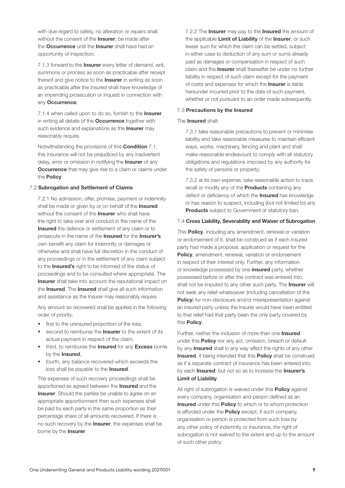with due regard to safety, no alteration or repairs shall, without the consent of the **Insurer**, be made after the Occurrence until the Insurer shall have had an opportunity of inspection;

7.1.3 forward to the **Insurer** every letter of demand, writ, summons or process as soon as practicable after receipt thereof and give notice to the **Insurer** in writing as soon as practicable after the Insured shall have knowledge of an impending prosecution or inquest in connection with any Occurrence;

7.1.4 when called upon to do so, furnish to the Insurer in writing all details of the **Occurrence** together with such evidence and explanations as the **Insurer** may reasonably require.

Notwithstanding the provisions of this Condition 7.1, this insurance will not be prejudiced by any inadvertent delay, error or omission in notifying the **Insurer** of any **Occurrence** that may give rise to a claim or claims under the Policy.

#### 7.2 Subrogation and Settlement of Claims

7.2.1 No admission, offer, promise, payment or indemnity shall be made or given by or on behalf of the Insured without the consent of the **Insurer** who shall have the right to take over and conduct in the name of the **Insured** the defence or settlement of any claim or to prosecute in the name of the Insured for the Insurer's own benefit any claim for indemnity or damages or otherwise and shall have full discretion in the conduct of any proceedings or in the settlement of any claim subject to the **Insured's** right to be informed of the status of proceedings and to be consulted where appropriate. The **Insurer** shall take into account the reputational impact on the **Insured**. The **Insured** shall give all such information and assistance as the Insurer may reasonably require.

Any amount so recovered shall be applied in the following order of priority:

- first to the uninsured proportion of the loss,
- second to reimburse the **Insurer** to the extent of its actual payment in respect of the claim,
- third, to reimburse the **Insured** for any **Excess** borne by the **Insured**.
- fourth, any balance recovered which exceeds the loss shall be payable to the **Insured**.

The expenses of such recovery proceedings shall be apportioned as agreed between the **Insured** and the **Insurer.** Should the parties be unable to agree on an appropriate apportionment then such expenses shall be paid by each party in the same proportion as their percentage share of all amounts recovered. If there is no such recovery by the **Insurer**, the expenses shall be borne by the **Insurer**.

7.2.2 The Insurer may pay to the Insured the amount of the applicable Limit of Liability of the Insurer, or such lesser sum for which the claim can be settled, subject in either case to deduction of any sum or sums already paid as damages or compensation in respect of such claim and the **Insurer** shall thereafter be under no further liability in respect of such claim except for the payment of costs and expenses for which the Insurer is liable hereunder incurred prior to the date of such payment, whether or not pursuant to an order made subsequently.

#### 7.3 Precautions by the Insured

#### The Insured shall:

7.3.1 take reasonable precautions to prevent or minimise liability and take reasonable measures to maintain efficient ways, works, machinery, fencing and plant and shall make reasonable endeavours to comply with all statutory obligations and regulations imposed by any authority for the safety of persons or property;

7.3.2 at its own expense, take reasonable action to trace recall or modify any of the **Products** containing any defect or deficiency of which the **Insured** has knowledge or has reason to suspect, including (but not limited to) any **Products** subject to Government or statutory ban.

#### 7.4 Cross Liability, Severability and Waiver of Subrogation

This **Policy**, including any amendment, renewal or variation or endorsement of it, shall be construed as if each insured party had made a proposal, application or request for the Policy, amendment, renewal, variation or endorsement in respect of their interest only. Further, any information or knowledge possessed by one *insured* party, whether possessed before or after the contract was entered into, shall not be imputed to any other such party. The **Insurer** will not seek any relief whatsoever (including cancellation of the **Policy**) for non-disclosure and/or misrepresentation against an insured party unless the Insurer would have been entitled to that relief had that party been the only party covered by this Policy.

Further, neither the inclusion of more than one **Insured** under this **Policy** nor any act, omission, breach or default by any **Insured** shall in any way affect the rights of any other Insured, it being intended that this **Policy** shall be construed as if a separate contract of insurance has been entered into by each **Insured**; but not so as to increase the **Insurer's** Limit of Liability.

All right of subrogation is waived under this **Policy** against every company, organisation and person defined as an Insured under this Policy to which or to whom protection is afforded under the **Policy** except, if such company, organisation or person is protected from such loss by any other policy of indemnity or insurance, the right of subrogation is not waived to the extent and up to the amount of such other policy.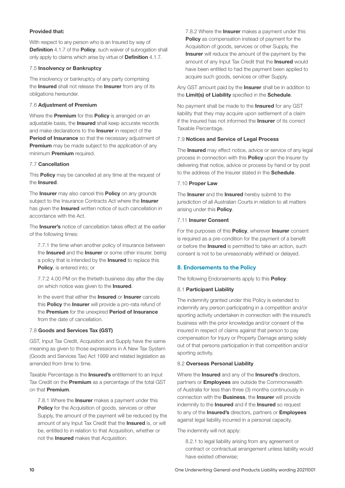## Provided that:

With respect to any person who is an Insured by way of **Definition** 4.1.7 of the **Policy**, such waiver of subrogation shall only apply to claims which arise by virtue of **Definition** 4.1.7.

### 7.5 Insolvency or Bankruptcy

The insolvency or bankruptcy of any party comprising the **Insured** shall not release the **Insurer** from any of its obligations hereunder.

# 7.6 Adjustment of Premium

Where the **Premium** for this **Policy** is arranged on an adjustable basis, the **Insured** shall keep accurate records and make declarations to the **Insurer** in respect of the **Period of Insurance** so that the necessary adjustment of **Premium** may be made subject to the application of any minimum **Premium** required.

# 7.7 Cancellation

This **Policy** may be cancelled at any time at the request of the Insured.

The **Insurer** may also cancel this **Policy** on any grounds subject to the Insurance Contracts Act where the Insurer has given the **Insured** written notice of such cancellation in accordance with the Act.

The Insurer's notice of cancellation takes effect at the earlier of the following times:

7.7.1 the time when another policy of insurance between the **Insured** and the **Insurer** or some other insurer, being a policy that is intended by the **Insured** to replace this Policy, is entered into; or

7.7.2 4.00 PM on the thirtieth business day after the day on which notice was given to the **Insured**.

In the event that either the **Insured** or **Insurer** cancels this **Policy** the **Insurer** will provide a pro-rata refund of the **Premium** for the unexpired **Period of Insurance** from the date of cancellation.

# 7.8 Goods and Services Tax (GST)

GST, Input Tax Credit, Acquisition and Supply have the same meaning as given to those expressions in A New Tax System (Goods and Services Tax) Act 1999 and related legislation as amended from time to time.

Taxable Percentage is the **Insured's** entitlement to an Input Tax Credit on the **Premium** as a percentage of the total GST on that Premium.

7.8.1 Where the **Insurer** makes a payment under this Policy for the Acquisition of goods, services or other Supply, the amount of the payment will be reduced by the amount of any Input Tax Credit that the **Insured** is, or will be, entitled to in relation to that Acquisition, whether or not the **Insured** makes that Acquisition.

7.8.2 Where the **Insurer** makes a payment under this Policy as compensation instead of payment for the Acquisition of goods, services or other Supply, the **Insurer** will reduce the amount of the payment by the amount of any Input Tax Credit that the **Insured** would have been entitled to had the payment been applied to acquire such goods, services or other Supply.

Any GST amount paid by the **Insurer** shall be in addition to the Limit(s) of Liability specified in the Schedule.

No payment shall be made to the **Insured** for any GST liability that they may acquire upon settlement of a claim if the Insured has not informed the **Insurer** of its correct Taxable Percentage.

# 7.9 Notices and Service of Legal Process

The **Insured** may effect notice, advice or service of any legal process in connection with this **Policy** upon the Insurer by delivering that notice, advice or process by hand or by post to the address of the Insurer stated in the Schedule.

# 7.10 Proper Law

The **Insurer** and the **Insured** hereby submit to the jurisdiction of all Australian Courts in relation to all matters arising under this Policy.

# 7.11 Insurer Consent

For the purposes of this **Policy**, wherever **Insurer** consent is required as a pre-condition for the payment of a benefit or before the **Insured** is permitted to take an action, such consent is not to be unreasonably withheld or delayed.

# **8. Endorsements to the Policy**

The following Endorsements apply to this **Policy:** 

# 8.1 Participant Liability

The indemnity granted under this Policy is extended to indemnify any person participating in a competition and/or sporting activity undertaken in connection with the insured's business with the prior knowledge and/or consent of the insured in respect of claims against that person to pay compensation for Injury or Property Damage arising solely out of that persons participation in that competition and/or sporting activity.

### 8.2 Overseas Personal Liability

Where the **Insured** and any of the **Insured's** directors, partners or **Employees** are outside the Commonwealth of Australia for less than three (3) months continuously in connection with the Business, the Insurer will provide indemnity to the **Insured** and if the **Insured** so request to any of the Insured's directors, partners or Employees against legal liability incurred in a personal capacity.

### The indemnity will not apply:

8.2.1 to legal liability arising from any agreement or contract or contractual arrangement unless liability would have existed otherwise;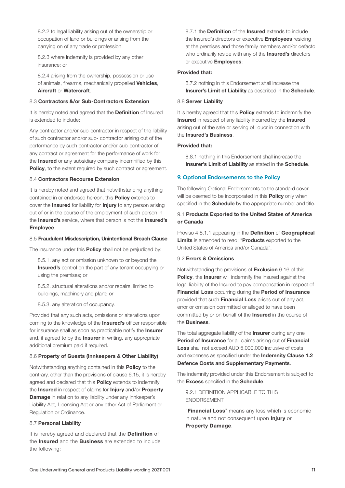8.2.2 to legal liability arising out of the ownership or occupation of land or buildings or arising from the carrying on of any trade or profession

8.2.3 where indemnity is provided by any other insurance; or

8.2.4 arising from the ownership, possession or use of animals, firearms, mechanically propelled Vehicles, Aircraft or Watercraft.

## 8.3 Contractors &/or Sub-Contractors Extension

It is hereby noted and agreed that the **Definition** of Insured is extended to include:

Any contractor and/or sub-contractor in respect of the liability of such contractor and/or sub- contractor arising out of the performance by such contractor and/or sub-contractor of any contract or agreement for the performance of work for the **Insured** or any subsidiary company indemnified by this Policy, to the extent required by such contract or agreement.

#### 8.4 Contractors Recourse Extension

It is hereby noted and agreed that notwithstanding anything contained in or endorsed hereon, this **Policy** extends to cover the **Insured** for liability for **Injury** to any person arising out of or in the course of the employment of such person in the **Insured's** service, where that person is not the **Insured's** Employee.

#### 8.5 Fraudulent Misdescription, Unintentional Breach Clause

The insurance under this **Policy** shall not be prejudiced by:

8.5.1. any act or omission unknown to or beyond the Insured's control on the part of any tenant occupying or using the premises; or

8.5.2. structural alterations and/or repairs, limited to buildings, machinery and plant; or

8.5.3. any alteration of occupancy.

Provided that any such acts, omissions or alterations upon coming to the knowledge of the Insured's officer responsible for insurance shall as soon as practicable notify the **Insurer** and, if agreed to by the **Insurer** in writing, any appropriate additional premium paid if required.

### 8.6 Property of Guests (Innkeepers & Other Liability)

Notwithstanding anything contained in this **Policy** to the contrary, other than the provisions of clause 6.15, it is hereby agreed and declared that this **Policy** extends to indemnify the Insured in respect of claims for Injury and/or Property Damage in relation to any liability under any Innkeeper's Liability Act, Licensing Act or any other Act of Parliament or Regulation or Ordinance.

### 8.7 Personal Liability

It is hereby agreed and declared that the **Definition** of the Insured and the Business are extended to include the following:

8.7.1 the **Definition** of the **Insured** extends to include the Insured's directors or executive **Employees** residing at the premises and those family members and/or defacto who ordinarily reside with any of the **Insured's** directors or executive Employees;

#### Provided that:

8.7.2 nothing in this Endorsement shall increase the Insurer's Limit of Liability as described in the Schedule.

#### 8.8 Server Liability

It is hereby agreed that this **Policy** extends to indemnify the Insured in respect of any liability incurred by the Insured arising out of the sale or serving of liquor in connection with the Insured's Business.

#### Provided that:

8.8.1 nothing in this Endorsement shall increase the Insurer's Limit of Liability as stated in the Schedule.

# **9. Optional Endorsements to the Policy**

The following Optional Endorsements to the standard cover will be deemed to be incorporated in this **Policy** only when specified in the **Schedule** by the appropriate number and title.

## 9.1 Products Exported to the United States of America or Canada

Proviso 4.8.1.1 appearing in the Definition of Geographical Limits is amended to read: "Products exported to the United States of America and/or Canada".

#### 9.2 Errors & Omissions

Notwithstanding the provisions of Exclusion 6.16 of this Policy, the Insurer will indemnify the Insured against the legal liability of the Insured to pay compensation in respect of Financial Loss occurring during the Period of Insurance provided that such Financial Loss arises out of any act, error or omission committed or alleged to have been committed by or on behalf of the Insured in the course of the Business.

The total aggregate liability of the **Insurer** during any one Period of Insurance for all claims arising out of Financial Loss shall not exceed AUD 5,000,000 inclusive of costs and expenses as specified under the Indemnity Clause 1.2 Defence Costs and Supplementary Payments.

The indemnity provided under this Endorsement is subject to the **Excess** specified in the **Schedule**.

9.2.1 DEFINITION APPLICABLE TO THIS ENDORSEMENT

"Financial Loss" means any loss which is economic in nature and not consequent upon **Injury** or Property Damage.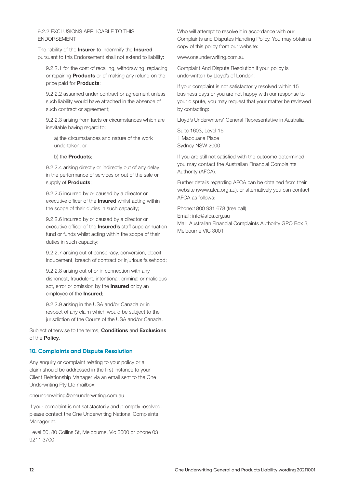# 9.2.2 EXCLUSIONS APPLICABLE TO THIS ENDORSEMENT

The liability of the **Insurer** to indemnify the **Insured** pursuant to this Endorsement shall not extend to liability:

9.2.2.1 for the cost of recalling, withdrawing, replacing or repairing **Products** or of making any refund on the price paid for Products;

9.2.2.2 assumed under contract or agreement unless such liability would have attached in the absence of such contract or agreement;

9.2.2.3 arising from facts or circumstances which are inevitable having regard to:

a) the circumstances and nature of the work undertaken, or

#### b) the **Products**:

9.2.2.4 arising directly or indirectly out of any delay in the performance of services or out of the sale or supply of **Products**:

9.2.2.5 incurred by or caused by a director or executive officer of the **Insured** whilst acting within the scope of their duties in such capacity;

9.2.2.6 incurred by or caused by a director or executive officer of the **Insured's** staff superannuation fund or funds whilst acting within the scope of their duties in such capacity;

9.2.2.7 arising out of conspiracy, conversion, deceit, inducement, breach of contract or injurious falsehood;

9.2.2.8 arising out of or in connection with any dishonest, fraudulent, intentional, criminal or malicious act, error or omission by the **Insured** or by an employee of the Insured;

9.2.2.9 arising in the USA and/or Canada or in respect of any claim which would be subject to the jurisdiction of the Courts of the USA and/or Canada.

Subject otherwise to the terms, **Conditions** and **Exclusions** of the Policy.

### **10. Complaints and Dispute Resolution**

Any enquiry or complaint relating to your policy or a claim should be addressed in the first instance to your Client Relationship Manager via an email sent to the One Underwriting Pty Ltd mailbox:

oneunderwriting@oneunderwriting.com.au

If your complaint is not satisfactorily and promptly resolved, please contact the One Underwriting National Complaints Manager at:

Level 50, 80 Collins St, Melbourne, Vic 3000 or phone 03 9211 3700

Who will attempt to resolve it in accordance with our Complaints and Disputes Handling Policy. You may obtain a copy of this policy from our website:

www.oneunderwriting.com.au

Complaint And Dispute Resolution if your policy is underwritten by Lloyd's of London.

If your complaint is not satisfactorily resolved within 15 business days or you are not happy with our response to your dispute, you may request that your matter be reviewed by contacting:

Lloyd's Underwriters' General Representative in Australia

Suite 1603, Level 16 1 Macquarie Place Sydney NSW 2000

If you are still not satisfied with the outcome determined, you may contact the Australian Financial Complaints Authority (AFCA).

Further details regarding AFCA can be obtained from their website (www.afca.org.au), or alternatively you can contact AFCA as follows:

Phone:1800 931 678 (free call) Email: info@afca.org.au Mail: Australian Financial Complaints Authority GPO Box 3, Melbourne VIC 3001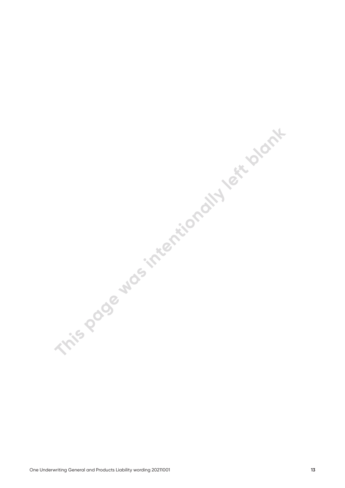This page was intentionally left blank